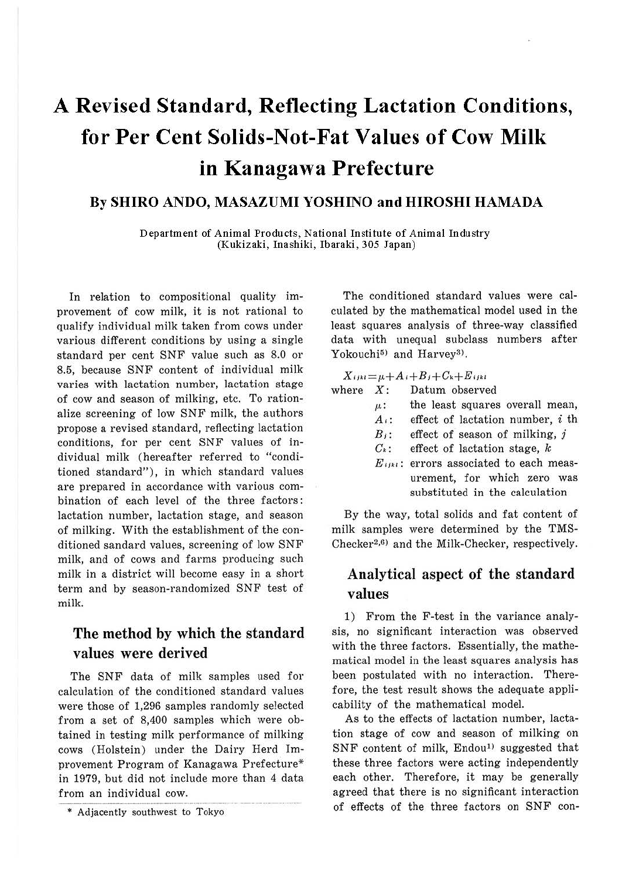# **A Revised Standard, Reflecting Lactation Conditions, for Per Cent Solids-Not-Fat Values of Cow Milk in Kanagawa Prefecture**

## **By SHIRO ANDO, MASAZUMI YOSHINO and HIROSHI HAMADA**

Department of Animal Products, National Institute of Animal Industry (Kukizaki, Inashiki, Ibaraki, 305 Japan)

In relation to compositional quality improvement of cow milk, it is not rational to qualify individual milk taken from cows under various different conditions by using a single standard per cent SNF value such as 8.0 or 8.5, because SNF content of individual milk varies with lactation number, lactation stage of cow and season of milking, etc. To rationalize screening of low SNF milk, the authors propose a revised standard, reflecting lactation conditions, for per cent SNF values of individual milk (hereafter referred to "conditioned standard") , in which standard values are prepared in accordance with various combination of each level of the three factors: lactation number, lactation stage, and season of milking. With the establishment of the conditioned sandard values, screening of low SNF milk, and of cows and farms producing such milk in a district will become easy in a short term and by season-randomized SNF test of milk.

# The method by which the standard values were derived

The SNF data of milk samples used for calculation of the conditioned standard values were those of 1,296 samples randomly selected from a set of 8,400 samples which were obtained in testing milk performance of milking cows (Holstein) under the Dairy Herd Improvement Program of Kanagawa Prefecture\* in 1979, but did not include more than 4 data from an individual cow.

The conditioned standard values were calculated by the mathematical model used in the least squares analysis of three-way classified data with unequal subclass numbers after Yokouchi<sup>5)</sup> and Harvey<sup>3)</sup>.

 $X_{ijkl} = \mu + A_i + B_j + C_k + E_{ijkl}$ 

| where $X$ : |  | Datum observed |
|-------------|--|----------------|
|             |  |                |

- *µ.:* the least squares overall mean,
- *A ,:* effect of lactation number, i th
- $B_i$ : effect of season of milking, j
- $C_k$ : effect of lactation stage,  $k$
- $E_{ijkl}$ : errors associated to each measurement, for which zero was substituted in the calculation

By the way, total solids and fat content of milk samples were determined by the TMS-Checker<sup>2,6)</sup> and the Milk-Checker, respectively.

# Analytical aspect of the standard values

1) From the F-test in the variance analysis, no significant interaction was observed with the three factors. Essentially, the mathematical model in the least squares analysis has been postulated with no interaction. Therefore, the test result shows the adequate applicability of the mathematical model.

As to the effects of lactation number, lactation stage of cow and season of milking on SNF content of milk, Endou<sup>1)</sup> suggested that these three factors were acting independently each other. Therefore, it may be generally agreed that there is no significant interaction of effects of the three factors on SNF con-

<sup>\*</sup> Adjacently southwest to Tokyo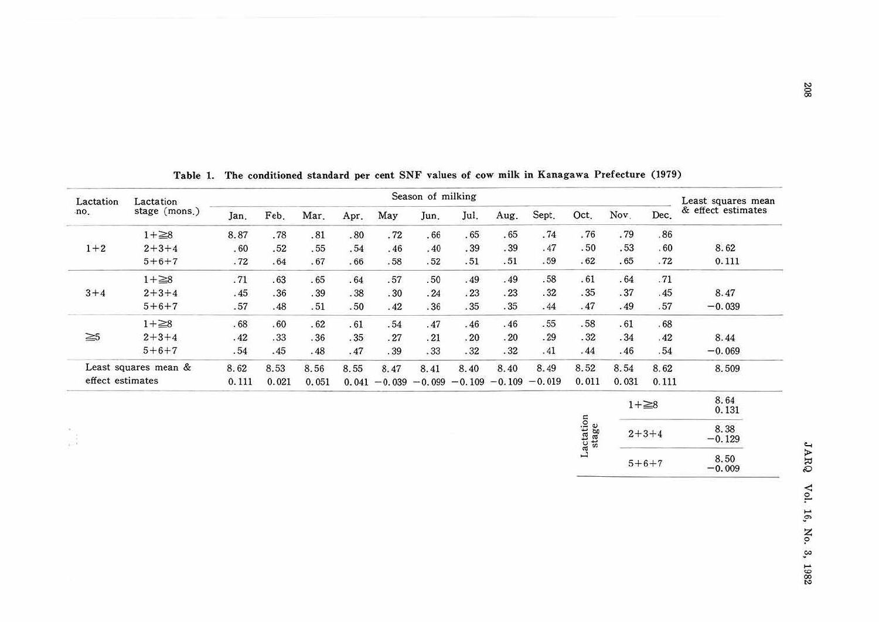| Lactation        | Lactation            | Season of milking |       |       |       |          |          |          |          |                             | Least squares mean |       |              |                    |
|------------------|----------------------|-------------------|-------|-------|-------|----------|----------|----------|----------|-----------------------------|--------------------|-------|--------------|--------------------|
| no.              | stage (mons.)        | Jan.              | Feb.  | Mar.  | Apr.  | May      | Jun.     | Jul.     | Aug.     | Sept.                       | Oct.               | Nov.  | Dec.         | & effect estimates |
|                  | $1+\geq8$            | 8.87              | .78   | .81   | .80   | .72      | .66      | .65      | .65      | .74                         | .76                | .79   | .86          |                    |
| $1 + 2$          | $2 + 3 + 4$          | .60               | .52   | .55   | .54   | .46      | .40      | .39      | .39      | .47                         | .50                | .53   | .60          | 8.62               |
|                  | $5 + 6 + 7$          | .72               | .64   | .67   | .66   | .58      | .52      | .51      | .51      | .59                         | .62                | .65   | .72          | 0.111              |
|                  | $1+\geq 8$           | .71               | .63   | .65   | .64   | .57      | .50      | .49      | .49      | .58                         | .61                | .64   | .71          |                    |
| $3 + 4$          | $2 + 3 + 4$          | .45               | .36   | .39   | .38   | .30      | .24      | .23      | .23      | .32                         | .35                | .37   | .45          | 8.47               |
|                  | $5 + 6 + 7$          | .57               | .48   | .51   | .50   | .42      | .36      | .35      | .35      | .44                         | .47                | .49   | .57          | $-0.039$           |
|                  | $1+\geq 8$           | $\,$ 68 $\,$      | .60   | .62   | .61   | .54      | .47      | .46      | .46      | $\boldsymbol{\mathsf{.55}}$ | .58                | .61   | .68          |                    |
| $\geq 5$         | $2 + 3 + 4$          | .42               | .33   | .36   | .35   | .27      | .21      | .20      | .20      | .29                         | $.32\,$            | .34   | .42          | 8.44               |
|                  | $5 + 6 + 7$          | .54               | .45   | .48   | .47   | .39      | .33      | .32      | .32      | .41                         | .44                | .46   | .54          | $-0.069$           |
|                  | Least squares mean & | 8.62              | 8.53  | 8.56  | 8.55  | 8.47     | 8.41     | 8.40     | 8.40     | 8.49                        | 8.52               | 8.54  | 8.62         | 8.509              |
| effect estimates |                      | 0.111             | 0.021 | 0.051 | 0.041 | $-0.039$ | $-0.099$ | $-0.109$ | $-0.109$ | $-0.019$                    | 0.011              | 0.031 | 0.111        |                    |
|                  |                      |                   |       |       |       |          |          |          |          |                             |                    |       | $1 + \geq 8$ | 8.64<br>0.131      |
| εĴ               |                      |                   |       |       |       |          |          |          |          |                             | Lactation<br>stage |       | $2 + 3 + 4$  | 8.38<br>$-0.129$   |
|                  |                      |                   |       |       |       |          |          |          |          |                             |                    |       | $5 + 6 + 7$  | 8.50<br>$-0.009$   |

Table 1. The conditioned standard per cent SNF values of cow milk in Kanagawa Prefecture (1979)

JARQ Vol. 16, No. 3, 1982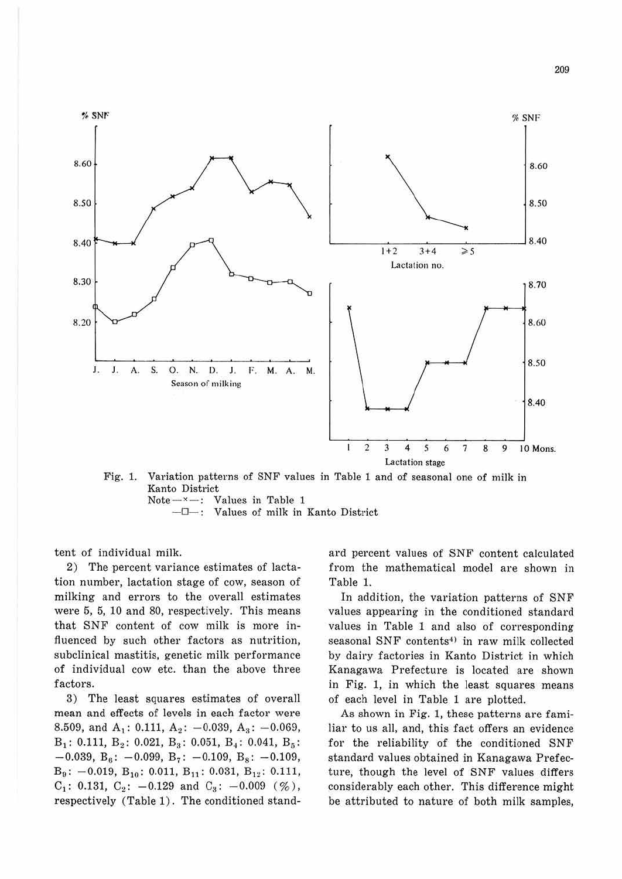

Fig. 1. Variation patterns of SNF values in Table 1 and of seasonal one of milk in Kanto District  $Note - x -$ : Values in Table 1

- $\Box$ -: Values of milk in Kanto District

tent of individual milk.

2) The percent variance estimates of lactation number, lactation stage of cow, season of milking and errors to the overall estimates were 5, 5, 10 and 80, respectively. This means that SNF content of cow milk is more influenced by such other factors as nutrition, subclinical mastitis, genetic milk performance of individual cow etc. than the above three factors.

3) The least squares estimates of overall mean and effects of levels in each factor were 8.509, and  $A_1$ : 0.111,  $A_2$ : -0.039,  $A_3$ : -0.069,  $B_1$ : 0.111,  $B_2$ : 0.021,  $B_3$ : 0.051,  $B_4$ : 0.041,  $B_5$ :  $-0.039$ , B<sub>6</sub>:  $-0.099$ , B<sub>7</sub>:  $-0.109$ , B<sub>8</sub>:  $-0.109$ ,  $B_9$ : -0.019,  $B_{10}$ : 0.011,  $B_{11}$ : 0.031,  $B_{12}$ : 0.111,  $C_1$ : 0.131,  $C_2$ : -0.129 and  $C_3$ : -0.009 (%), respectively (Table 1). The conditioned standard percent values of SNF content calculated from the mathematical model are shown in Table 1.

In addition, the variation patterns of SNF values appearing in the conditioned standard values in Table 1 and also of corresponding seasonal SNF contents<sup>4)</sup> in raw milk collected by dairy factories in Kanto District in which Kanagawa Prefecture is located are shown in Fig. 1, in which the least squares means of each level in Table 1 are plotted.

As shown in Fig. 1, these patterns are familiar to us all, and, this fact offers an evidence for the reliability of the conditioned SNF standard values obtained in Kanagawa Prefecture, though the level of SNF values differs considerably each other. This difference might be attributed to nature of both milk samples,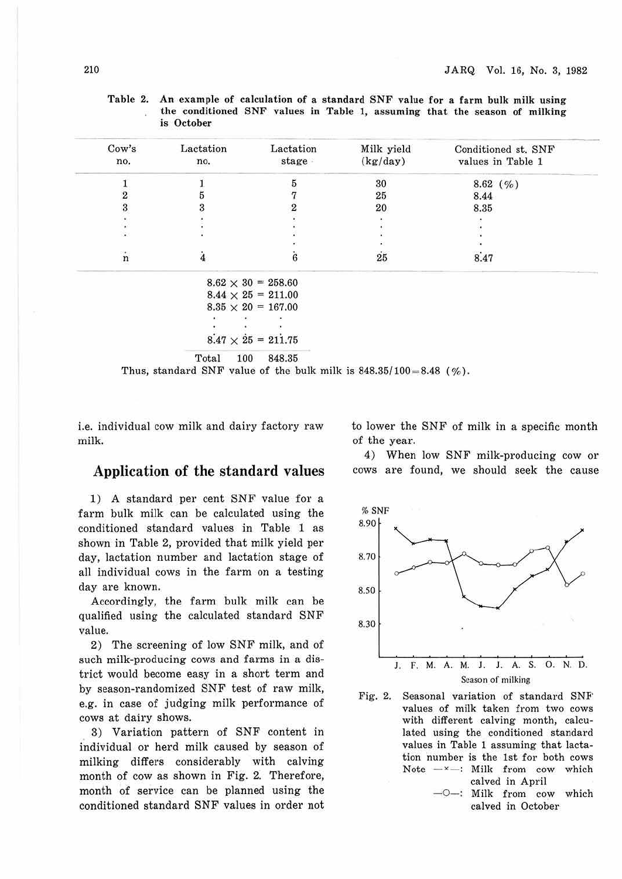|                    | is October |                           |            |                                          |
|--------------------|------------|---------------------------|------------|------------------------------------------|
| Cow's              | Lactation  | Lactation                 | Milk yield | Conditioned st. SNF<br>values in Table 1 |
| no.                | no.        | stage                     | (kg/day)   |                                          |
|                    |            | 5                         | 30         | $8.62$ (%)                               |
| $\overline{2}$     | n          |                           | 25         | 8.44                                     |
| 3                  |            |                           | 20         | 8.35                                     |
|                    |            |                           |            |                                          |
|                    |            |                           |            |                                          |
|                    |            |                           |            |                                          |
| $\dot{\mathbf{n}}$ | 4          | 6                         | $25\,$     | 8.47                                     |
|                    |            | $8.62 \times 30 = 258.60$ |            |                                          |
|                    |            | $8.44 \times 25 = 211.00$ |            |                                          |
|                    |            | $8.35 \times 20 = 167.00$ |            |                                          |
|                    |            |                           |            |                                          |
|                    |            |                           |            |                                          |
|                    |            | $8.47 \times 25 = 211.75$ |            |                                          |

Table 2. An example of calculation of a standard SNF value for a farm bulk milk using the conditioned SNF values in Table 1, assuming that the season of milking is **October** 

Total 100 848.35

Thus, standard SNF value of the bulk milk is  $848.35/100 = 8.48$  (%).

i.e. individual cow milk and dairy factory raw milk.

#### Application of the standard values

1) A standard per cent SNF value for a farm bulk milk can be calculated using the conditioned standard values in Table 1 as shown in Table 2, provided that milk yield per day, lactation number and lactation stage of all individual cows in the farm on a testing day are known.

Accordingly, the farm bulk milk can be qualified using the calculated standard SNF value.

2) The screening of low SNF milk, and of such milk-producing cows and farms in a district would become easy in a short term and by season-randomized SNF test of raw milk, e.g. in case of judging milk performance of cows at dairy shows.

3) Variation pattern of SNF content in individual or herd milk caused by season of milking differs considerably with calving month of cow as shown in Fig. 2. Therefore, month of service can be planned using the conditioned standard SNF values in order not to lower the SNF of milk in a specific month of the year.

4) When low SNF milk-producing cow or cows are found, we should seek the cause



Fig. 2. Seasonal variation of standard SNF' values of milk taken from two cows with different calving month, calculated using the conditioned standard values in Table 1 assuming that lactation number is the 1st for both cows Note  $-x$ -: Milk from cow which calved in April - O-: Milk from cow which

calved in October